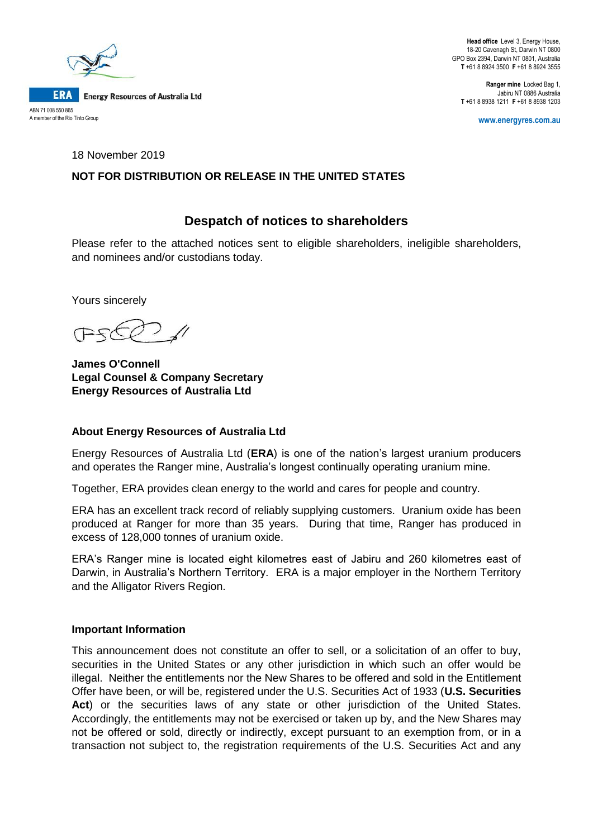

**Head office** Level 3, Energy House, 18-20 Cavenagh St, Darwin NT 0800 GPO Box 2394, Darwin NT 0801, Australia **T** +61 8 8924 3500 **F** +61 8 8924 3555

**Ranger mine** Locked Bag 1, Jabiru NT 0886 Australia **T** +61 8 8938 1211 **F** +61 8 8938 1203

**www.energyres.com.au**

18 November 2019

# **NOT FOR DISTRIBUTION OR RELEASE IN THE UNITED STATES**

# **Despatch of notices to shareholders**

Please refer to the attached notices sent to eligible shareholders, ineligible shareholders, and nominees and/or custodians today.

Yours sincerely

**James O'Connell Legal Counsel & Company Secretary Energy Resources of Australia Ltd**

# **About Energy Resources of Australia Ltd**

Energy Resources of Australia Ltd (**ERA**) is one of the nation's largest uranium producers and operates the Ranger mine, Australia's longest continually operating uranium mine.

Together, ERA provides clean energy to the world and cares for people and country.

ERA has an excellent track record of reliably supplying customers. Uranium oxide has been produced at Ranger for more than 35 years. During that time, Ranger has produced in excess of 128,000 tonnes of uranium oxide.

ERA's Ranger mine is located eight kilometres east of Jabiru and 260 kilometres east of Darwin, in Australia's Northern Territory. ERA is a major employer in the Northern Territory and the Alligator Rivers Region.

# **Important Information**

This announcement does not constitute an offer to sell, or a solicitation of an offer to buy, securities in the United States or any other jurisdiction in which such an offer would be illegal. Neither the entitlements nor the New Shares to be offered and sold in the Entitlement Offer have been, or will be, registered under the U.S. Securities Act of 1933 (**U.S. Securities**  Act) or the securities laws of any state or other jurisdiction of the United States. Accordingly, the entitlements may not be exercised or taken up by, and the New Shares may not be offered or sold, directly or indirectly, except pursuant to an exemption from, or in a transaction not subject to, the registration requirements of the U.S. Securities Act and any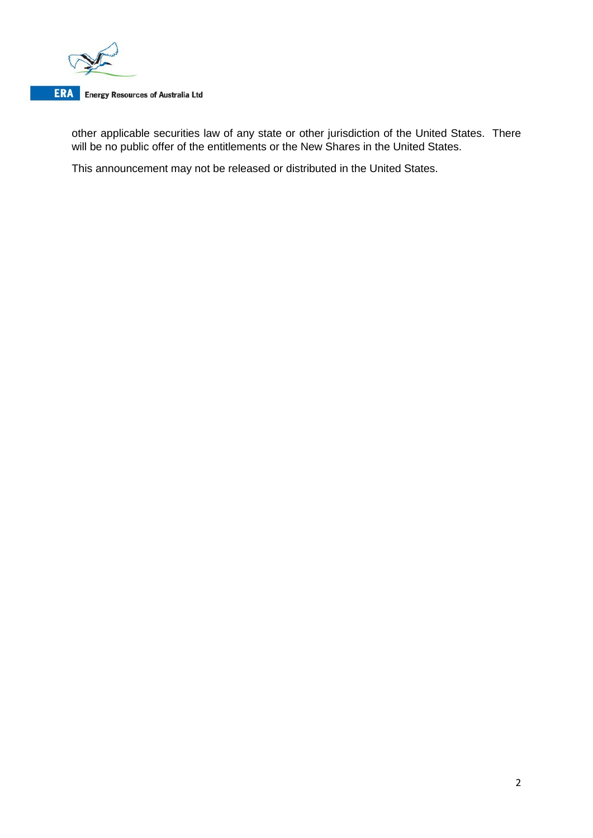

# **ERA** Energy Resources of Australia Ltd

other applicable securities law of any state or other jurisdiction of the United States. There will be no public offer of the entitlements or the New Shares in the United States.

This announcement may not be released or distributed in the United States.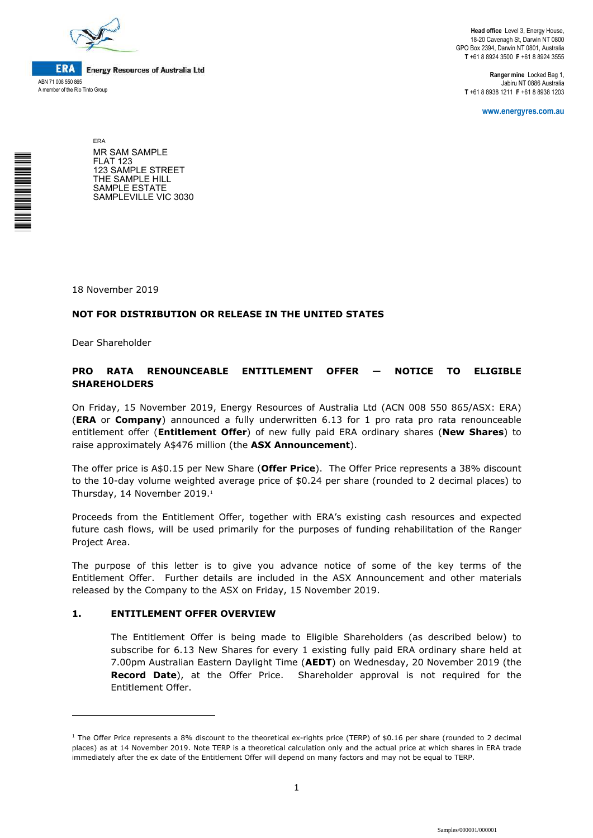

\*<br>\* London<br>Timografia

**ERA Energy Resources of Australia Ltd** ABN 71 008 550 865 A member of the Rio Tinto Group

**Head office** Level 3, Energy House, 18-20 Cavenagh St, Darwin NT 0800 GPO Box 2394, Darwin NT 0801, Australia **T** +61 8 8924 3500 **F** +61 8 8924 3555

**Ranger mine** Locked Bag 1, Jabiru NT 0886 Australia **T** +61 8 8938 1211 **F** +61 8 8938 1203

**www.energyres.com.au** 

ERA MR SAM SAMPLE FLAT 123 123 SAMPLE STREET THE SAMPLE HILL SAMPLE ESTATE SAMPLEVILLE VIC 3030

18 November 2019

#### **NOT FOR DISTRIBUTION OR RELEASE IN THE UNITED STATES**

Dear Shareholder

i<br>I

#### **PRO RATA RENOUNCEABLE ENTITLEMENT OFFER — NOTICE TO ELIGIBLE SHAREHOLDERS**

On Friday, 15 November 2019, Energy Resources of Australia Ltd (ACN 008 550 865/ASX: ERA) (**ERA** or **Company**) announced a fully underwritten 6.13 for 1 pro rata pro rata renounceable entitlement offer (**Entitlement Offer**) of new fully paid ERA ordinary shares (**New Shares**) to raise approximately A\$476 million (the **ASX Announcement**).

The offer price is A\$0.15 per New Share (**Offer Price**). The Offer Price represents a 38% discount to the 10-day volume weighted average price of \$0.24 per share (rounded to 2 decimal places) to Thursday, 14 November 2019.<sup>1</sup>

Proceeds from the Entitlement Offer, together with ERA's existing cash resources and expected future cash flows, will be used primarily for the purposes of funding rehabilitation of the Ranger Project Area.

The purpose of this letter is to give you advance notice of some of the key terms of the Entitlement Offer. Further details are included in the ASX Announcement and other materials released by the Company to the ASX on Friday, 15 November 2019.

#### **1. ENTITLEMENT OFFER OVERVIEW**

The Entitlement Offer is being made to Eligible Shareholders (as described below) to subscribe for 6.13 New Shares for every 1 existing fully paid ERA ordinary share held at 7.00pm Australian Eastern Daylight Time (**AEDT**) on Wednesday, 20 November 2019 (the **Record Date**), at the Offer Price. Shareholder approval is not required for the Entitlement Offer.

<sup>1</sup> The Offer Price represents a 8% discount to the theoretical ex-rights price (TERP) of \$0.16 per share (rounded to 2 decimal places) as at 14 November 2019. Note TERP is a theoretical calculation only and the actual price at which shares in ERA trade immediately after the ex date of the Entitlement Offer will depend on many factors and may not be equal to TERP.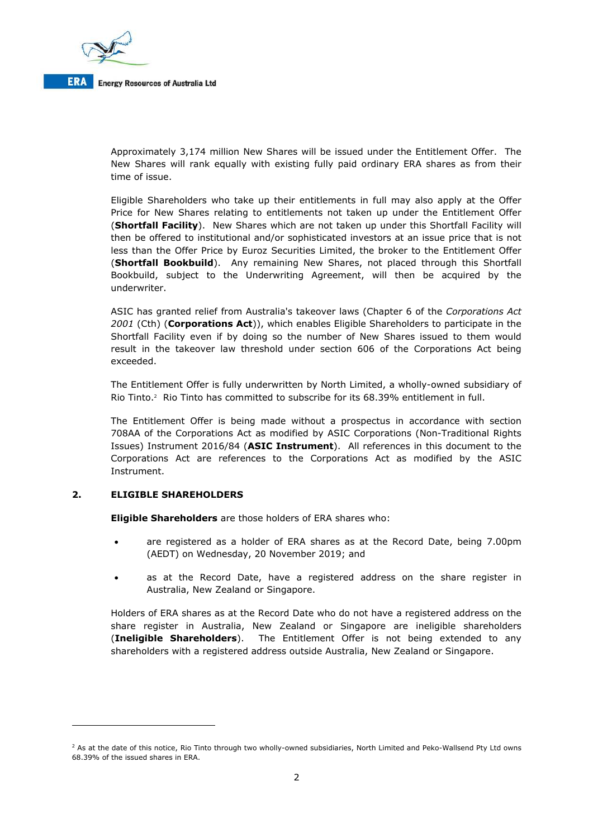

**Energy Resources of Australia Ltd** 

Approximately 3,174 million New Shares will be issued under the Entitlement Offer. The New Shares will rank equally with existing fully paid ordinary ERA shares as from their time of issue.

Eligible Shareholders who take up their entitlements in full may also apply at the Offer Price for New Shares relating to entitlements not taken up under the Entitlement Offer (**Shortfall Facility**). New Shares which are not taken up under this Shortfall Facility will then be offered to institutional and/or sophisticated investors at an issue price that is not less than the Offer Price by Euroz Securities Limited, the broker to the Entitlement Offer (**Shortfall Bookbuild**). Any remaining New Shares, not placed through this Shortfall Bookbuild, subject to the Underwriting Agreement, will then be acquired by the underwriter.

ASIC has granted relief from Australia's takeover laws (Chapter 6 of the *Corporations Act 2001* (Cth) (**Corporations Act**)), which enables Eligible Shareholders to participate in the Shortfall Facility even if by doing so the number of New Shares issued to them would result in the takeover law threshold under section 606 of the Corporations Act being exceeded.

The Entitlement Offer is fully underwritten by North Limited, a wholly-owned subsidiary of Rio Tinto.<sup>2</sup> Rio Tinto has committed to subscribe for its 68.39% entitlement in full.

The Entitlement Offer is being made without a prospectus in accordance with section 708AA of the Corporations Act as modified by ASIC Corporations (Non-Traditional Rights Issues) Instrument 2016/84 (**ASIC Instrument**). All references in this document to the Corporations Act are references to the Corporations Act as modified by the ASIC Instrument.

#### **2. ELIGIBLE SHAREHOLDERS**

i<br>I

**Eligible Shareholders** are those holders of ERA shares who:

- are registered as a holder of ERA shares as at the Record Date, being 7.00pm (AEDT) on Wednesday, 20 November 2019; and
- as at the Record Date, have a registered address on the share register in Australia, New Zealand or Singapore.

Holders of ERA shares as at the Record Date who do not have a registered address on the share register in Australia, New Zealand or Singapore are ineligible shareholders (**Ineligible Shareholders**). The Entitlement Offer is not being extended to any shareholders with a registered address outside Australia, New Zealand or Singapore.

<sup>&</sup>lt;sup>2</sup> As at the date of this notice, Rio Tinto through two wholly-owned subsidiaries, North Limited and Peko-Wallsend Pty Ltd owns 68.39% of the issued shares in ERA.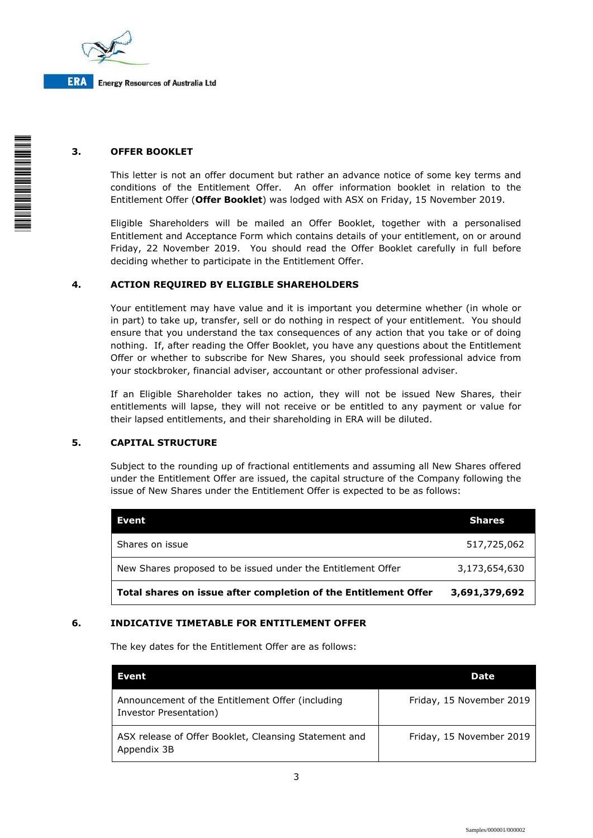

# **3. OFFER BOOKLET**

This letter is not an offer document but rather an advance notice of some key terms and conditions of the Entitlement Offer. An offer information booklet in relation to the Entitlement Offer (**Offer Booklet**) was lodged with ASX on Friday, 15 November 2019.

Eligible Shareholders will be mailed an Offer Booklet, together with a personalised Entitlement and Acceptance Form which contains details of your entitlement, on or around Friday, 22 November 2019. You should read the Offer Booklet carefully in full before deciding whether to participate in the Entitlement Offer.

#### **4. ACTION REQUIRED BY ELIGIBLE SHAREHOLDERS**

Your entitlement may have value and it is important you determine whether (in whole or in part) to take up, transfer, sell or do nothing in respect of your entitlement. You should ensure that you understand the tax consequences of any action that you take or of doing nothing. If, after reading the Offer Booklet, you have any questions about the Entitlement Offer or whether to subscribe for New Shares, you should seek professional advice from your stockbroker, financial adviser, accountant or other professional adviser.

If an Eligible Shareholder takes no action, they will not be issued New Shares, their entitlements will lapse, they will not receive or be entitled to any payment or value for their lapsed entitlements, and their shareholding in ERA will be diluted.

#### **5. CAPITAL STRUCTURE**

Subject to the rounding up of fractional entitlements and assuming all New Shares offered under the Entitlement Offer are issued, the capital structure of the Company following the issue of New Shares under the Entitlement Offer is expected to be as follows:

| Total shares on issue after completion of the Entitlement Offer | 3,691,379,692 |
|-----------------------------------------------------------------|---------------|
| New Shares proposed to be issued under the Entitlement Offer    | 3,173,654,630 |
| Shares on issue                                                 | 517,725,062   |
| Event                                                           | <b>Shares</b> |

#### **6. INDICATIVE TIMETABLE FOR ENTITLEMENT OFFER**

The key dates for the Entitlement Offer are as follows:

| <b>Event</b>                                                               | <b>Date</b>              |
|----------------------------------------------------------------------------|--------------------------|
| Announcement of the Entitlement Offer (including<br>Investor Presentation) | Friday, 15 November 2019 |
| ASX release of Offer Booklet, Cleansing Statement and<br>Appendix 3B       | Friday, 15 November 2019 |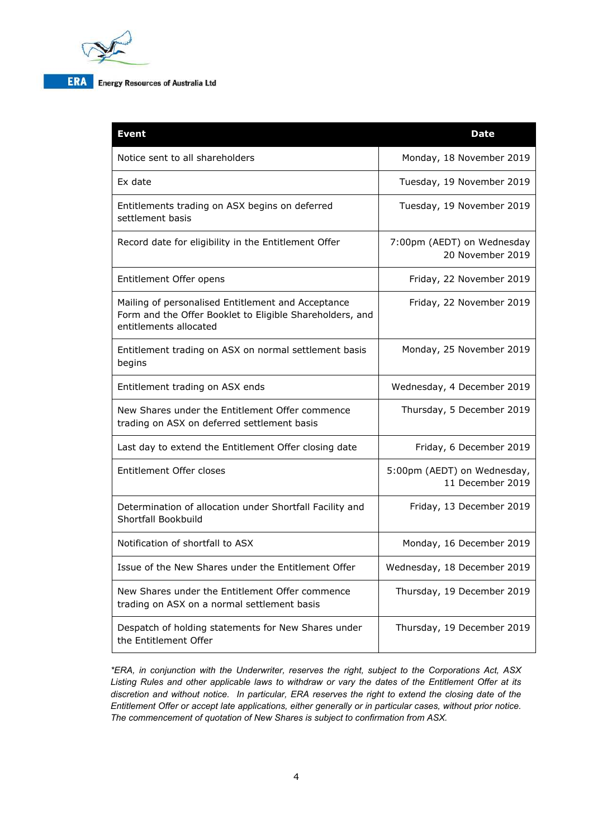

# **ERA** Energy Resources of Australia Ltd

| <b>Event</b>                                                                                                                             | <b>Date</b>                                     |
|------------------------------------------------------------------------------------------------------------------------------------------|-------------------------------------------------|
| Notice sent to all shareholders                                                                                                          | Monday, 18 November 2019                        |
| Ex date                                                                                                                                  | Tuesday, 19 November 2019                       |
| Entitlements trading on ASX begins on deferred<br>settlement basis                                                                       | Tuesday, 19 November 2019                       |
| Record date for eligibility in the Entitlement Offer                                                                                     | 7:00pm (AEDT) on Wednesday<br>20 November 2019  |
| Entitlement Offer opens                                                                                                                  | Friday, 22 November 2019                        |
| Mailing of personalised Entitlement and Acceptance<br>Form and the Offer Booklet to Eligible Shareholders, and<br>entitlements allocated | Friday, 22 November 2019                        |
| Entitlement trading on ASX on normal settlement basis<br>begins                                                                          | Monday, 25 November 2019                        |
| Entitlement trading on ASX ends                                                                                                          | Wednesday, 4 December 2019                      |
| New Shares under the Entitlement Offer commence<br>trading on ASX on deferred settlement basis                                           | Thursday, 5 December 2019                       |
| Last day to extend the Entitlement Offer closing date                                                                                    | Friday, 6 December 2019                         |
| Entitlement Offer closes                                                                                                                 | 5:00pm (AEDT) on Wednesday,<br>11 December 2019 |
| Determination of allocation under Shortfall Facility and<br>Shortfall Bookbuild                                                          | Friday, 13 December 2019                        |
| Notification of shortfall to ASX                                                                                                         | Monday, 16 December 2019                        |
| Issue of the New Shares under the Entitlement Offer                                                                                      | Wednesday, 18 December 2019                     |
| New Shares under the Entitlement Offer commence<br>trading on ASX on a normal settlement basis                                           | Thursday, 19 December 2019                      |
| Despatch of holding statements for New Shares under<br>the Entitlement Offer                                                             | Thursday, 19 December 2019                      |

*\*ERA, in conjunction with the Underwriter, reserves the right, subject to the Corporations Act, ASX Listing Rules and other applicable laws to withdraw or vary the dates of the Entitlement Offer at its discretion and without notice. In particular, ERA reserves the right to extend the closing date of the Entitlement Offer or accept late applications, either generally or in particular cases, without prior notice. The commencement of quotation of New Shares is subject to confirmation from ASX.*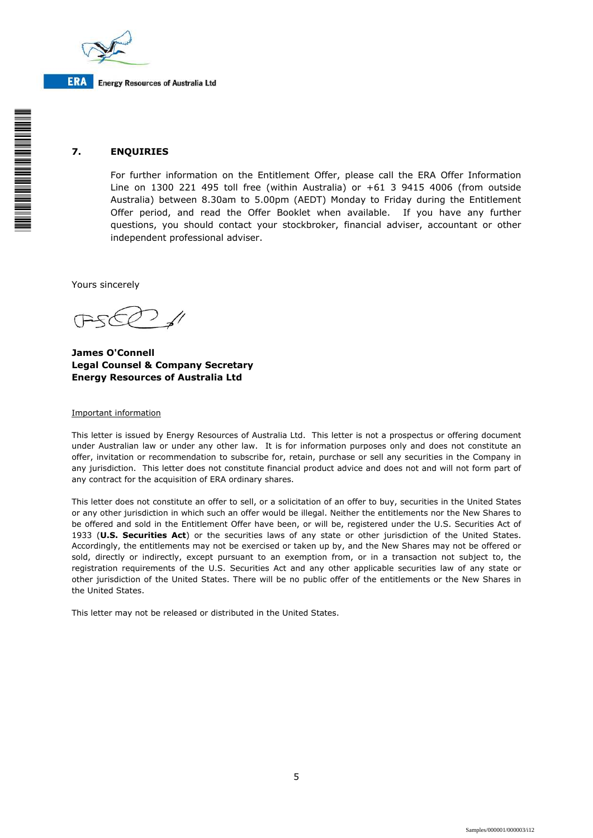

# **7. ENQUIRIES**

For further information on the Entitlement Offer, please call the ERA Offer Information Line on 1300 221 495 toll free (within Australia) or +61 3 9415 4006 (from outside Australia) between 8.30am to 5.00pm (AEDT) Monday to Friday during the Entitlement Offer period, and read the Offer Booklet when available. If you have any further questions, you should contact your stockbroker, financial adviser, accountant or other independent professional adviser.

Yours sincerely

**James O'Connell Legal Counsel & Company Secretary Energy Resources of Australia Ltd**

#### Important information

This letter is issued by Energy Resources of Australia Ltd. This letter is not a prospectus or offering document under Australian law or under any other law. It is for information purposes only and does not constitute an offer, invitation or recommendation to subscribe for, retain, purchase or sell any securities in the Company in any jurisdiction. This letter does not constitute financial product advice and does not and will not form part of any contract for the acquisition of ERA ordinary shares.

This letter does not constitute an offer to sell, or a solicitation of an offer to buy, securities in the United States or any other jurisdiction in which such an offer would be illegal. Neither the entitlements nor the New Shares to be offered and sold in the Entitlement Offer have been, or will be, registered under the U.S. Securities Act of 1933 (**U.S. Securities Act**) or the securities laws of any state or other jurisdiction of the United States. Accordingly, the entitlements may not be exercised or taken up by, and the New Shares may not be offered or sold, directly or indirectly, except pursuant to an exemption from, or in a transaction not subject to, the registration requirements of the U.S. Securities Act and any other applicable securities law of any state or other jurisdiction of the United States. There will be no public offer of the entitlements or the New Shares in the United States.

This letter may not be released or distributed in the United States.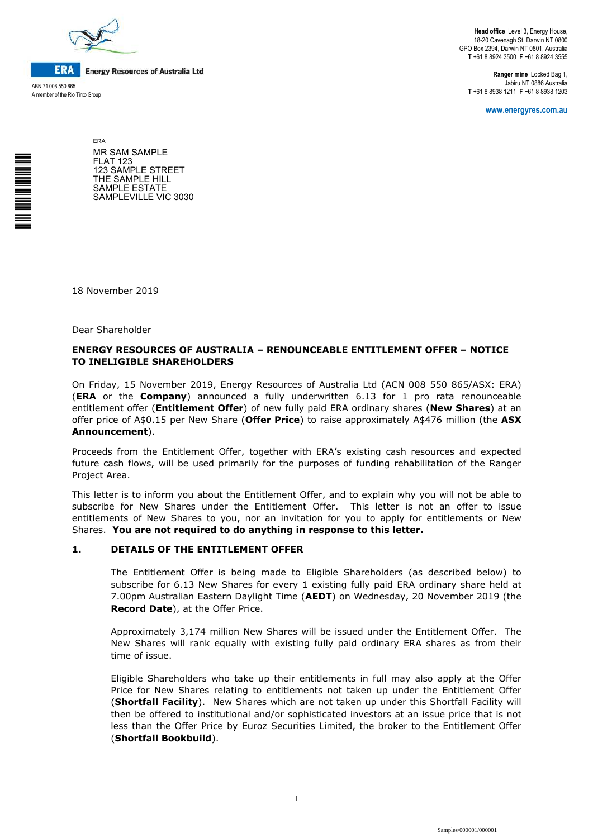

**ERA Energy Resources of Australia Ltd** 

ABN 71 008 550 865 A member of the Rio Tinto Group

\*<br>\* London<br>Timografia

**Head office** Level 3, Energy House, 18-20 Cavenagh St, Darwin NT 0800 GPO Box 2394, Darwin NT 0801, Australia **T** +61 8 8924 3500 **F** +61 8 8924 3555

**Ranger mine** Locked Bag 1, Jabiru NT 0886 Australia **T** +61 8 8938 1211 **F** +61 8 8938 1203

**www.energyres.com.au** 

ERA MR SAM SAMPLE FLAT 123 123 SAMPLE STREET THE SAMPLE HILL SAMPLE ESTATE SAMPLEVILLE VIC 3030

18 November 2019

Dear Shareholder

#### **ENERGY RESOURCES OF AUSTRALIA – RENOUNCEABLE ENTITLEMENT OFFER – NOTICE TO INELIGIBLE SHAREHOLDERS**

On Friday, 15 November 2019, Energy Resources of Australia Ltd (ACN 008 550 865/ASX: ERA) (**ERA** or the **Company**) announced a fully underwritten 6.13 for 1 pro rata renounceable entitlement offer (**Entitlement Offer**) of new fully paid ERA ordinary shares (**New Shares**) at an offer price of A\$0.15 per New Share (**Offer Price**) to raise approximately A\$476 million (the **ASX Announcement**).

Proceeds from the Entitlement Offer, together with ERA's existing cash resources and expected future cash flows, will be used primarily for the purposes of funding rehabilitation of the Ranger Project Area.

This letter is to inform you about the Entitlement Offer, and to explain why you will not be able to subscribe for New Shares under the Entitlement Offer. This letter is not an offer to issue entitlements of New Shares to you, nor an invitation for you to apply for entitlements or New Shares. **You are not required to do anything in response to this letter.**

#### **1. DETAILS OF THE ENTITLEMENT OFFER**

The Entitlement Offer is being made to Eligible Shareholders (as described below) to subscribe for 6.13 New Shares for every 1 existing fully paid ERA ordinary share held at 7.00pm Australian Eastern Daylight Time (**AEDT**) on Wednesday, 20 November 2019 (the **Record Date**), at the Offer Price.

Approximately 3,174 million New Shares will be issued under the Entitlement Offer. The New Shares will rank equally with existing fully paid ordinary ERA shares as from their time of issue.

Eligible Shareholders who take up their entitlements in full may also apply at the Offer Price for New Shares relating to entitlements not taken up under the Entitlement Offer (**Shortfall Facility**). New Shares which are not taken up under this Shortfall Facility will then be offered to institutional and/or sophisticated investors at an issue price that is not less than the Offer Price by Euroz Securities Limited, the broker to the Entitlement Offer (**Shortfall Bookbuild**).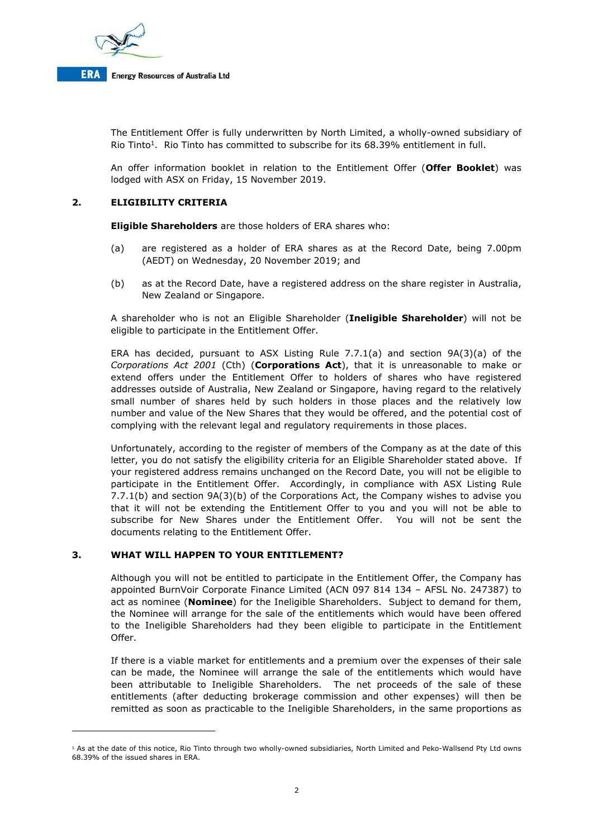

The Entitlement Offer is fully underwritten by North Limited, a wholly-owned subsidiary of Rio Tinto<sup>1</sup>. Rio Tinto has committed to subscribe for its 68.39% entitlement in full.

An offer information booklet in relation to the Entitlement Offer (**Offer Booklet**) was lodged with ASX on Friday, 15 November 2019.

# **2. ELIGIBILITY CRITERIA**

**Eligible Shareholders** are those holders of ERA shares who:

- (a) are registered as a holder of ERA shares as at the Record Date, being 7.00pm (AEDT) on Wednesday, 20 November 2019; and
- (b) as at the Record Date, have a registered address on the share register in Australia, New Zealand or Singapore.

A shareholder who is not an Eligible Shareholder (**Ineligible Shareholder**) will not be eligible to participate in the Entitlement Offer.

ERA has decided, pursuant to ASX Listing Rule 7.7.1(a) and section  $9A(3)(a)$  of the *Corporations Act 2001* (Cth) (**Corporations Act**), that it is unreasonable to make or extend offers under the Entitlement Offer to holders of shares who have registered addresses outside of Australia, New Zealand or Singapore, having regard to the relatively small number of shares held by such holders in those places and the relatively low number and value of the New Shares that they would be offered, and the potential cost of complying with the relevant legal and regulatory requirements in those places.

Unfortunately, according to the register of members of the Company as at the date of this letter, you do not satisfy the eligibility criteria for an Eligible Shareholder stated above. If your registered address remains unchanged on the Record Date, you will not be eligible to participate in the Entitlement Offer. Accordingly, in compliance with ASX Listing Rule 7.7.1(b) and section 9A(3)(b) of the Corporations Act, the Company wishes to advise you that it will not be extending the Entitlement Offer to you and you will not be able to subscribe for New Shares under the Entitlement Offer. You will not be sent the documents relating to the Entitlement Offer.

#### **3. WHAT WILL HAPPEN TO YOUR ENTITLEMENT?**

i<br>I

Although you will not be entitled to participate in the Entitlement Offer, the Company has appointed BurnVoir Corporate Finance Limited (ACN 097 814 134 – AFSL No. 247387) to act as nominee (**Nominee**) for the Ineligible Shareholders. Subject to demand for them, the Nominee will arrange for the sale of the entitlements which would have been offered to the Ineligible Shareholders had they been eligible to participate in the Entitlement Offer.

If there is a viable market for entitlements and a premium over the expenses of their sale can be made, the Nominee will arrange the sale of the entitlements which would have been attributable to Ineligible Shareholders. The net proceeds of the sale of these entitlements (after deducting brokerage commission and other expenses) will then be remitted as soon as practicable to the Ineligible Shareholders, in the same proportions as

<sup>&</sup>lt;sup>1</sup> As at the date of this notice, Rio Tinto through two wholly-owned subsidiaries, North Limited and Peko-Wallsend Pty Ltd owns 68.39% of the issued shares in ERA.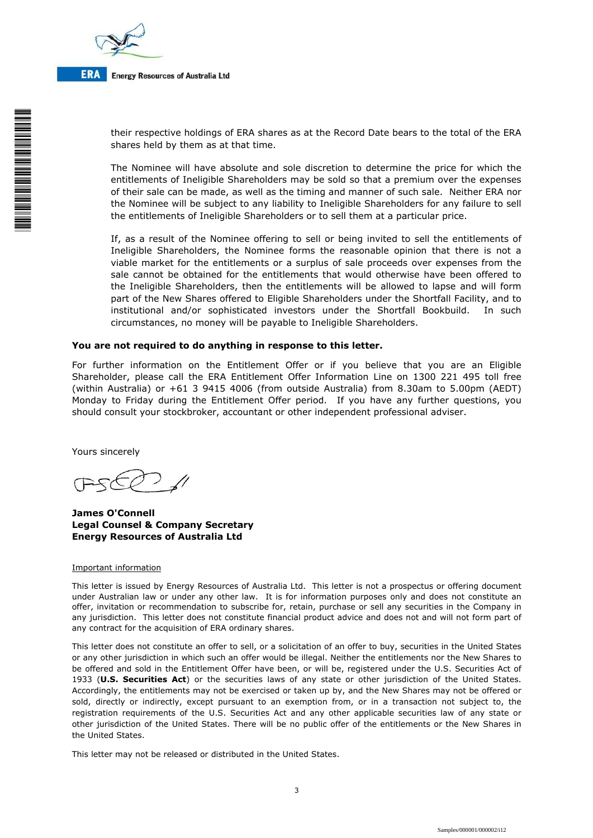

**ERA Energy Resources of Australia Ltd** 

> their respective holdings of ERA shares as at the Record Date bears to the total of the ERA shares held by them as at that time.

> The Nominee will have absolute and sole discretion to determine the price for which the entitlements of Ineligible Shareholders may be sold so that a premium over the expenses of their sale can be made, as well as the timing and manner of such sale. Neither ERA nor the Nominee will be subject to any liability to Ineligible Shareholders for any failure to sell the entitlements of Ineligible Shareholders or to sell them at a particular price.

> If, as a result of the Nominee offering to sell or being invited to sell the entitlements of Ineligible Shareholders, the Nominee forms the reasonable opinion that there is not a viable market for the entitlements or a surplus of sale proceeds over expenses from the sale cannot be obtained for the entitlements that would otherwise have been offered to the Ineligible Shareholders, then the entitlements will be allowed to lapse and will form part of the New Shares offered to Eligible Shareholders under the Shortfall Facility, and to institutional and/or sophisticated investors under the Shortfall Bookbuild. In such circumstances, no money will be payable to Ineligible Shareholders.

#### **You are not required to do anything in response to this letter.**

For further information on the Entitlement Offer or if you believe that you are an Eligible Shareholder, please call the ERA Entitlement Offer Information Line on 1300 221 495 toll free (within Australia) or +61 3 9415 4006 (from outside Australia) from 8.30am to 5.00pm (AEDT) Monday to Friday during the Entitlement Offer period. If you have any further questions, you should consult your stockbroker, accountant or other independent professional adviser.

Yours sincerely

**James O'Connell Legal Counsel & Company Secretary Energy Resources of Australia Ltd**

#### Important information

This letter is issued by Energy Resources of Australia Ltd. This letter is not a prospectus or offering document under Australian law or under any other law. It is for information purposes only and does not constitute an offer, invitation or recommendation to subscribe for, retain, purchase or sell any securities in the Company in any jurisdiction. This letter does not constitute financial product advice and does not and will not form part of any contract for the acquisition of ERA ordinary shares.

This letter does not constitute an offer to sell, or a solicitation of an offer to buy, securities in the United States or any other jurisdiction in which such an offer would be illegal. Neither the entitlements nor the New Shares to be offered and sold in the Entitlement Offer have been, or will be, registered under the U.S. Securities Act of 1933 (**U.S. Securities Act**) or the securities laws of any state or other jurisdiction of the United States. Accordingly, the entitlements may not be exercised or taken up by, and the New Shares may not be offered or sold, directly or indirectly, except pursuant to an exemption from, or in a transaction not subject to, the registration requirements of the U.S. Securities Act and any other applicable securities law of any state or other jurisdiction of the United States. There will be no public offer of the entitlements or the New Shares in the United States.

This letter may not be released or distributed in the United States.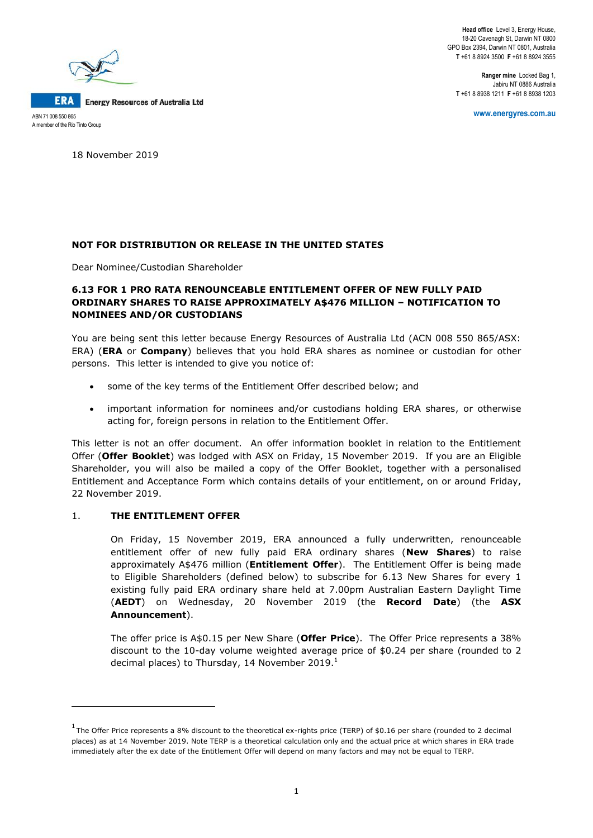**Head office** Level 3, Energy House, 18-20 Cavenagh St, Darwin NT 0800 GPO Box 2394, Darwin NT 0801, Australia **T** +61 8 8924 3500 **F** +61 8 8924 3555

**Ranger mine** Locked Bag 1, Jabiru NT 0886 Australia **T** +61 8 8938 1211 **F** +61 8 8938 1203



18 November 2019

# **NOT FOR DISTRIBUTION OR RELEASE IN THE UNITED STATES**

Dear Nominee/Custodian Shareholder

# **6.13 FOR 1 PRO RATA RENOUNCEABLE ENTITLEMENT OFFER OF NEW FULLY PAID ORDINARY SHARES TO RAISE APPROXIMATELY A\$476 MILLION – NOTIFICATION TO NOMINEES AND/OR CUSTODIANS**

You are being sent this letter because Energy Resources of Australia Ltd (ACN 008 550 865/ASX: ERA) (**ERA** or **Company**) believes that you hold ERA shares as nominee or custodian for other persons. This letter is intended to give you notice of:

- some of the key terms of the Entitlement Offer described below; and
- important information for nominees and/or custodians holding ERA shares, or otherwise acting for, foreign persons in relation to the Entitlement Offer.

This letter is not an offer document. An offer information booklet in relation to the Entitlement Offer (**Offer Booklet**) was lodged with ASX on Friday, 15 November 2019. If you are an Eligible Shareholder, you will also be mailed a copy of the Offer Booklet, together with a personalised Entitlement and Acceptance Form which contains details of your entitlement, on or around Friday, 22 November 2019.

# 1. **THE ENTITLEMENT OFFER**

**.** 

On Friday, 15 November 2019, ERA announced a fully underwritten, renounceable entitlement offer of new fully paid ERA ordinary shares (**New Shares**) to raise approximately A\$476 million (**Entitlement Offer**). The Entitlement Offer is being made to Eligible Shareholders (defined below) to subscribe for 6.13 New Shares for every 1 existing fully paid ERA ordinary share held at 7.00pm Australian Eastern Daylight Time (**AEDT**) on Wednesday, 20 November 2019 (the **Record Date**) (the **ASX Announcement**).

The offer price is A\$0.15 per New Share (**Offer Price**). The Offer Price represents a 38% discount to the 10-day volume weighted average price of \$0.24 per share (rounded to 2 decimal places) to Thursday, 14 November 2019.<sup>1</sup>

 $1$  The Offer Price represents a 8% discount to the theoretical ex-rights price (TERP) of \$0.16 per share (rounded to 2 decimal places) as at 14 November 2019. Note TERP is a theoretical calculation only and the actual price at which shares in ERA trade immediately after the ex date of the Entitlement Offer will depend on many factors and may not be equal to TERP.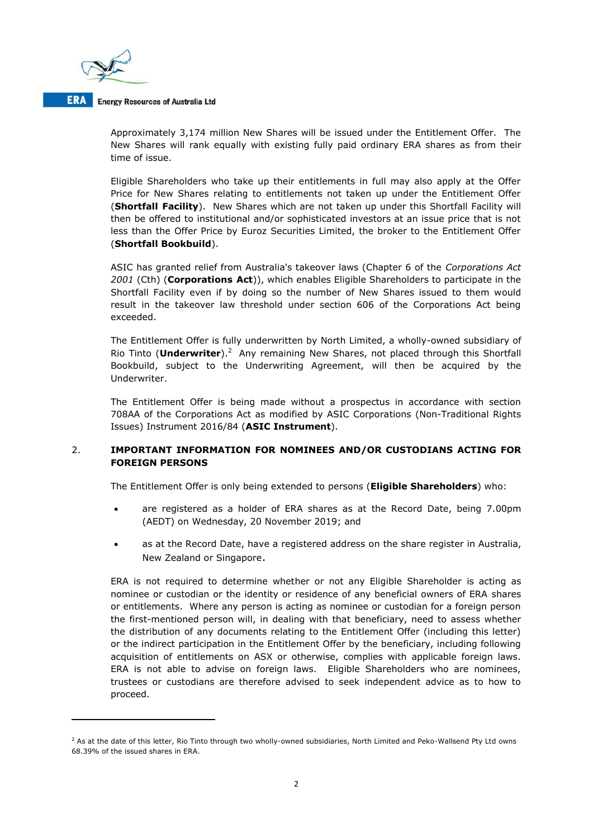

**.** 

#### **ERA** Energy Resources of Australia Ltd

Approximately 3,174 million New Shares will be issued under the Entitlement Offer. The New Shares will rank equally with existing fully paid ordinary ERA shares as from their time of issue.

Eligible Shareholders who take up their entitlements in full may also apply at the Offer Price for New Shares relating to entitlements not taken up under the Entitlement Offer (**Shortfall Facility**). New Shares which are not taken up under this Shortfall Facility will then be offered to institutional and/or sophisticated investors at an issue price that is not less than the Offer Price by Euroz Securities Limited, the broker to the Entitlement Offer (**Shortfall Bookbuild**).

ASIC has granted relief from Australia's takeover laws (Chapter 6 of the *Corporations Act 2001* (Cth) (**Corporations Act**)), which enables Eligible Shareholders to participate in the Shortfall Facility even if by doing so the number of New Shares issued to them would result in the takeover law threshold under section 606 of the Corporations Act being exceeded.

The Entitlement Offer is fully underwritten by North Limited, a wholly-owned subsidiary of Rio Tinto (Underwriter).<sup>2</sup> Any remaining New Shares, not placed through this Shortfall Bookbuild, subject to the Underwriting Agreement, will then be acquired by the Underwriter.

The Entitlement Offer is being made without a prospectus in accordance with section 708AA of the Corporations Act as modified by ASIC Corporations (Non-Traditional Rights Issues) Instrument 2016/84 (**ASIC Instrument**).

# 2. **IMPORTANT INFORMATION FOR NOMINEES AND/OR CUSTODIANS ACTING FOR FOREIGN PERSONS**

The Entitlement Offer is only being extended to persons (**Eligible Shareholders**) who:

- are registered as a holder of ERA shares as at the Record Date, being 7.00pm (AEDT) on Wednesday, 20 November 2019; and
- as at the Record Date, have a registered address on the share register in Australia, New Zealand or Singapore.

ERA is not required to determine whether or not any Eligible Shareholder is acting as nominee or custodian or the identity or residence of any beneficial owners of ERA shares or entitlements. Where any person is acting as nominee or custodian for a foreign person the first-mentioned person will, in dealing with that beneficiary, need to assess whether the distribution of any documents relating to the Entitlement Offer (including this letter) or the indirect participation in the Entitlement Offer by the beneficiary, including following acquisition of entitlements on ASX or otherwise, complies with applicable foreign laws. ERA is not able to advise on foreign laws. Eligible Shareholders who are nominees, trustees or custodians are therefore advised to seek independent advice as to how to proceed.

 $2$  As at the date of this letter, Rio Tinto through two wholly-owned subsidiaries, North Limited and Peko-Wallsend Pty Ltd owns 68.39% of the issued shares in ERA.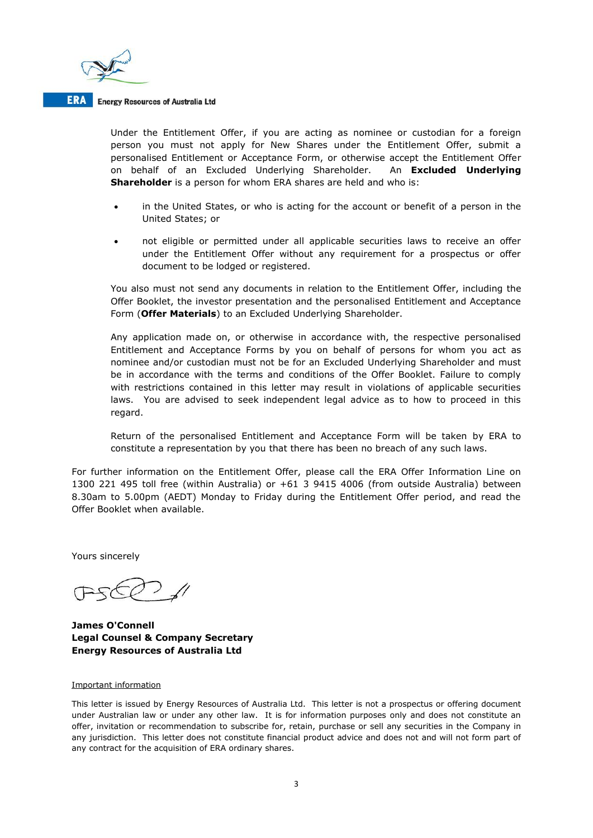

#### **ERA** Energy Resources of Australia Ltd

Under the Entitlement Offer, if you are acting as nominee or custodian for a foreign person you must not apply for New Shares under the Entitlement Offer, submit a personalised Entitlement or Acceptance Form, or otherwise accept the Entitlement Offer on behalf of an Excluded Underlying Shareholder. An **Excluded Underlying Shareholder** is a person for whom ERA shares are held and who is:

- in the United States, or who is acting for the account or benefit of a person in the United States; or
- not eligible or permitted under all applicable securities laws to receive an offer under the Entitlement Offer without any requirement for a prospectus or offer document to be lodged or registered.

You also must not send any documents in relation to the Entitlement Offer, including the Offer Booklet, the investor presentation and the personalised Entitlement and Acceptance Form (**Offer Materials**) to an Excluded Underlying Shareholder.

Any application made on, or otherwise in accordance with, the respective personalised Entitlement and Acceptance Forms by you on behalf of persons for whom you act as nominee and/or custodian must not be for an Excluded Underlying Shareholder and must be in accordance with the terms and conditions of the Offer Booklet. Failure to comply with restrictions contained in this letter may result in violations of applicable securities laws. You are advised to seek independent legal advice as to how to proceed in this regard.

Return of the personalised Entitlement and Acceptance Form will be taken by ERA to constitute a representation by you that there has been no breach of any such laws.

For further information on the Entitlement Offer, please call the ERA Offer Information Line on 1300 221 495 toll free (within Australia) or +61 3 9415 4006 (from outside Australia) between 8.30am to 5.00pm (AEDT) Monday to Friday during the Entitlement Offer period, and read the Offer Booklet when available.

Yours sincerely

**James O'Connell Legal Counsel & Company Secretary Energy Resources of Australia Ltd**

#### Important information

This letter is issued by Energy Resources of Australia Ltd. This letter is not a prospectus or offering document under Australian law or under any other law. It is for information purposes only and does not constitute an offer, invitation or recommendation to subscribe for, retain, purchase or sell any securities in the Company in any jurisdiction. This letter does not constitute financial product advice and does not and will not form part of any contract for the acquisition of ERA ordinary shares.